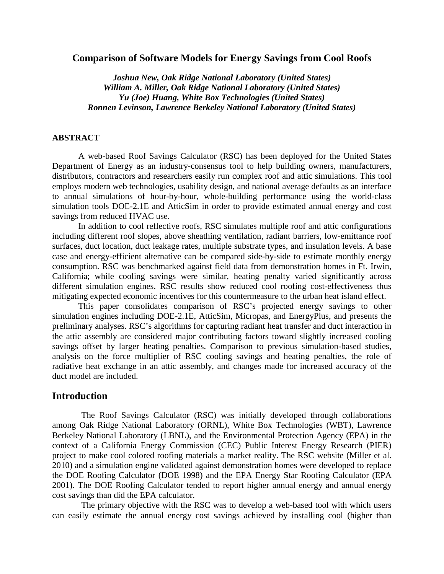### **Comparison of Software Models for Energy Savings from Cool Roofs**

*Joshua New, Oak Ridge National Laboratory (United States) William A. Miller, Oak Ridge National Laboratory (United States) Yu (Joe) Huang, White Box Technologies (United States) Ronnen Levinson, Lawrence Berkeley National Laboratory (United States)*

### **ABSTRACT**

A web-based Roof Savings Calculator (RSC) has been deployed for the United States Department of Energy as an industry-consensus tool to help building owners, manufacturers, distributors, contractors and researchers easily run complex roof and attic simulations. This tool employs modern web technologies, usability design, and national average defaults as an interface to annual simulations of hour-by-hour, whole-building performance using the world-class simulation tools DOE-2.1E and AtticSim in order to provide estimated annual energy and cost savings from reduced HVAC use.

In addition to cool reflective roofs, RSC simulates multiple roof and attic configurations including different roof slopes, above sheathing ventilation, radiant barriers, low-emittance roof surfaces, duct location, duct leakage rates, multiple substrate types, and insulation levels. A base case and energy-efficient alternative can be compared side-by-side to estimate monthly energy consumption. RSC was benchmarked against field data from demonstration homes in Ft. Irwin, California; while cooling savings were similar, heating penalty varied significantly across different simulation engines. RSC results show reduced cool roofing cost-effectiveness thus mitigating expected economic incentives for this countermeasure to the urban heat island effect.

This paper consolidates comparison of RSC's projected energy savings to other simulation engines including DOE-2.1E, AtticSim, Micropas, and EnergyPlus, and presents the preliminary analyses. RSC's algorithms for capturing radiant heat transfer and duct interaction in the attic assembly are considered major contributing factors toward slightly increased cooling savings offset by larger heating penalties. Comparison to previous simulation-based studies, analysis on the force multiplier of RSC cooling savings and heating penalties, the role of radiative heat exchange in an attic assembly, and changes made for increased accuracy of the duct model are included.

# **Introduction**

The Roof Savings Calculator (RSC) was initially developed through collaborations among Oak Ridge National Laboratory (ORNL), White Box Technologies (WBT), Lawrence Berkeley National Laboratory (LBNL), and the Environmental Protection Agency (EPA) in the context of a California Energy Commission (CEC) Public Interest Energy Research (PIER) project to make cool colored roofing materials a market reality. The RSC website (Miller et al. 2010) and a simulation engine validated against demonstration homes were developed to replace the DOE Roofing Calculator (DOE 1998) and the EPA Energy Star Roofing Calculator (EPA 2001). The DOE Roofing Calculator tended to report higher annual energy and annual energy cost savings than did the EPA calculator.

The primary objective with the RSC was to develop a web-based tool with which users can easily estimate the annual energy cost savings achieved by installing cool (higher than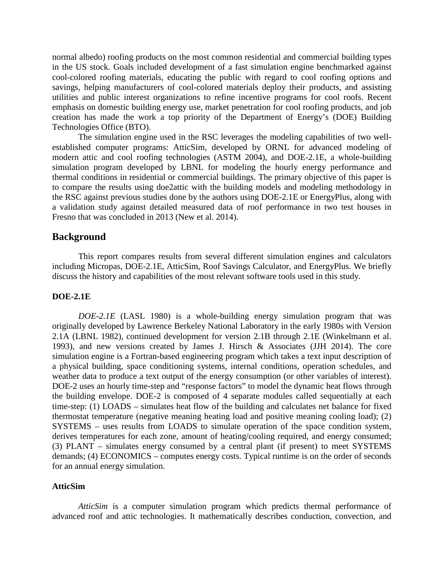normal albedo) roofing products on the most common residential and commercial building types in the US stock. Goals included development of a fast simulation engine benchmarked against cool-colored roofing materials, educating the public with regard to cool roofing options and savings, helping manufacturers of cool-colored materials deploy their products, and assisting utilities and public interest organizations to refine incentive programs for cool roofs. Recent emphasis on domestic building energy use, market penetration for cool roofing products, and job creation has made the work a top priority of the Department of Energy's (DOE) Building Technologies Office (BTO).

The simulation engine used in the RSC leverages the modeling capabilities of two wellestablished computer programs: AtticSim, developed by ORNL for advanced modeling of modern attic and cool roofing technologies (ASTM 2004), and DOE-2.1E, a whole-building simulation program developed by LBNL for modeling the hourly energy performance and thermal conditions in residential or commercial buildings. The primary objective of this paper is to compare the results using doe2attic with the building models and modeling methodology in the RSC against previous studies done by the authors using DOE-2.1E or EnergyPlus, along with a validation study against detailed measured data of roof performance in two test houses in Fresno that was concluded in 2013 (New et al. 2014).

# **Background**

This report compares results from several different simulation engines and calculators including Micropas, DOE-2.1E, AtticSim, Roof Savings Calculator, and EnergyPlus. We briefly discuss the history and capabilities of the most relevant software tools used in this study.

### **DOE-2.1E**

*DOE-2.1E* (LASL 1980) is a whole-building energy simulation program that was originally developed by Lawrence Berkeley National Laboratory in the early 1980s with Version 2.1A (LBNL 1982), continued development for version 2.1B through 2.1E (Winkelmann et al. 1993), and new versions created by James J. Hirsch & Associates (JJH 2014). The core simulation engine is a Fortran-based engineering program which takes a text input description of a physical building, space conditioning systems, internal conditions, operation schedules, and weather data to produce a text output of the energy consumption (or other variables of interest). DOE-2 uses an hourly time-step and "response factors" to model the dynamic heat flows through the building envelope. DOE-2 is composed of 4 separate modules called sequentially at each time-step: (1) LOADS – simulates heat flow of the building and calculates net balance for fixed thermostat temperature (negative meaning heating load and positive meaning cooling load); (2) SYSTEMS – uses results from LOADS to simulate operation of the space condition system, derives temperatures for each zone, amount of heating/cooling required, and energy consumed; (3) PLANT – simulates energy consumed by a central plant (if present) to meet SYSTEMS demands; (4) ECONOMICS – computes energy costs. Typical runtime is on the order of seconds for an annual energy simulation.

### **AtticSim**

*AtticSim* is a computer simulation program which predicts thermal performance of advanced roof and attic technologies. It mathematically describes conduction, convection, and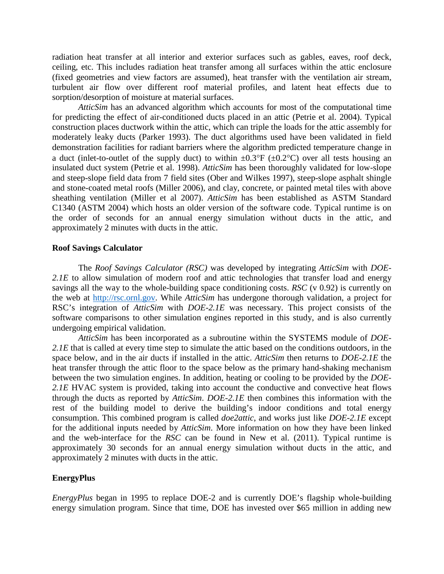radiation heat transfer at all interior and exterior surfaces such as gables, eaves, roof deck, ceiling, etc. This includes radiation heat transfer among all surfaces within the attic enclosure (fixed geometries and view factors are assumed), heat transfer with the ventilation air stream, turbulent air flow over different roof material profiles, and latent heat effects due to sorption/desorption of moisture at material surfaces.

*AtticSim* has an advanced algorithm which accounts for most of the computational time for predicting the effect of air-conditioned ducts placed in an attic (Petrie et al. 2004). Typical construction places ductwork within the attic, which can triple the loads for the attic assembly for moderately leaky ducts (Parker 1993). The duct algorithms used have been validated in field demonstration facilities for radiant barriers where the algorithm predicted temperature change in a duct (inlet-to-outlet of the supply duct) to within  $\pm 0.3^{\circ}F$  ( $\pm 0.2^{\circ}C$ ) over all tests housing an insulated duct system (Petrie et al. 1998). *AtticSim* has been thoroughly validated for low-slope and steep-slope field data from 7 field sites (Ober and Wilkes 1997), steep-slope asphalt shingle and stone-coated metal roofs (Miller 2006), and clay, concrete, or painted metal tiles with above sheathing ventilation (Miller et al 2007). *AtticSim* has been established as ASTM Standard C1340 (ASTM 2004) which hosts an older version of the software code. Typical runtime is on the order of seconds for an annual energy simulation without ducts in the attic, and approximately 2 minutes with ducts in the attic.

### **Roof Savings Calculator**

The *Roof Savings Calculator (RSC)* was developed by integrating *AtticSim* with *DOE-*2.1E to allow simulation of modern roof and attic technologies that transfer load and energy savings all the way to the whole-building space conditioning costs. *RSC* (v 0.92) is currently on the web at [http://rsc.ornl.gov.](http://rsc.ornl.gov/) While *AtticSim* has undergone thorough validation, a project for RSC's integration of *AtticSim* with *DOE-2.1E* was necessary. This project consists of the software comparisons to other simulation engines reported in this study, and is also currently undergoing empirical validation.

*AtticSim* has been incorporated as a subroutine within the SYSTEMS module of *DOE-*2.1E that is called at every time step to simulate the attic based on the conditions outdoors, in the space below, and in the air ducts if installed in the attic. *AtticSim* then returns to *DOE-2.1E* the heat transfer through the attic floor to the space below as the primary hand-shaking mechanism between the two simulation engines. In addition, heating or cooling to be provided by the *DOE-2.1E* HVAC system is provided, taking into account the conductive and convective heat flows through the ducts as reported by *AtticSim*. *DOE-2.1E* then combines this information with the rest of the building model to derive the building's indoor conditions and total energy consumption. This combined program is called *doe2attic*, and works just like *DOE-2.1E* except for the additional inputs needed by *AtticSim*. More information on how they have been linked and the web-interface for the *RSC* can be found in New et al. (2011). Typical runtime is approximately 30 seconds for an annual energy simulation without ducts in the attic, and approximately 2 minutes with ducts in the attic.

# **EnergyPlus**

*EnergyPlus* began in 1995 to replace DOE-2 and is currently DOE's flagship whole-building energy simulation program. Since that time, DOE has invested over \$65 million in adding new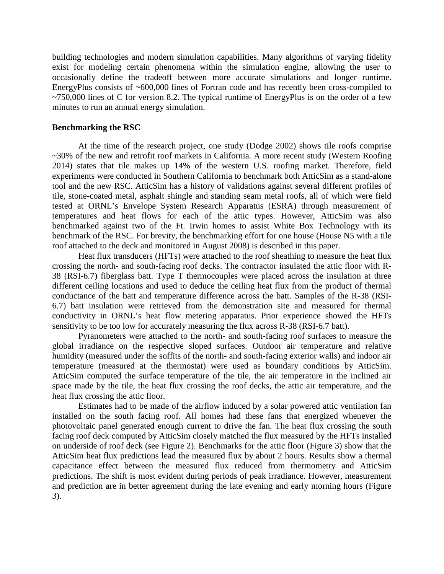building technologies and modern simulation capabilities. Many algorithms of varying fidelity exist for modeling certain phenomena within the simulation engine, allowing the user to occasionally define the tradeoff between more accurate simulations and longer runtime. EnergyPlus consists of ~600,000 lines of Fortran code and has recently been cross-compiled to  $\sim$ 750,000 lines of C for version 8.2. The typical runtime of EnergyPlus is on the order of a few minutes to run an annual energy simulation.

### **Benchmarking the RSC**

At the time of the research project, one study (Dodge 2002) shows tile roofs comprise ~30% of the new and retrofit roof markets in California. A more recent study (Western Roofing 2014) states that tile makes up 14% of the western U.S. roofing market. Therefore, field experiments were conducted in Southern California to benchmark both AtticSim as a stand-alone tool and the new RSC. AtticSim has a history of validations against several different profiles of tile, stone-coated metal, asphalt shingle and standing seam metal roofs, all of which were field tested at ORNL's Envelope System Research Apparatus (ESRA) through measurement of temperatures and heat flows for each of the attic types. However, AtticSim was also benchmarked against two of the Ft. Irwin homes to assist White Box Technology with its benchmark of the RSC. For brevity, the benchmarking effort for one house (House N5 with a tile roof attached to the deck and monitored in August 2008) is described in this paper.

Heat flux transducers (HFTs) were attached to the roof sheathing to measure the heat flux crossing the north- and south-facing roof decks. The contractor insulated the attic floor with R-38 (RSI-6.7) fiberglass batt. Type T thermocouples were placed across the insulation at three different ceiling locations and used to deduce the ceiling heat flux from the product of thermal conductance of the batt and temperature difference across the batt. Samples of the R-38 (RSI-6.7) batt insulation were retrieved from the demonstration site and measured for thermal conductivity in ORNL's heat flow metering apparatus. Prior experience showed the HFTs sensitivity to be too low for accurately measuring the flux across R-38 (RSI-6.7 batt).

Pyranometers were attached to the north- and south-facing roof surfaces to measure the global irradiance on the respective sloped surfaces. Outdoor air temperature and relative humidity (measured under the soffits of the north- and south-facing exterior walls) and indoor air temperature (measured at the thermostat) were used as boundary conditions by AtticSim. AtticSim computed the surface temperature of the tile, the air temperature in the inclined air space made by the tile, the heat flux crossing the roof decks, the attic air temperature, and the heat flux crossing the attic floor.

Estimates had to be made of the airflow induced by a solar powered attic ventilation fan installed on the south facing roof. All homes had these fans that energized whenever the photovoltaic panel generated enough current to drive the fan. The heat flux crossing the south facing roof deck computed by AtticSim closely matched the flux measured by the HFTs installed on underside of roof deck (see Figure 2). Benchmarks for the attic floor (Figure 3) show that the AtticSim heat flux predictions lead the measured flux by about 2 hours. Results show a thermal capacitance effect between the measured flux reduced from thermometry and AtticSim predictions. The shift is most evident during periods of peak irradiance. However, measurement and prediction are in better agreement during the late evening and early morning hours (Figure 3).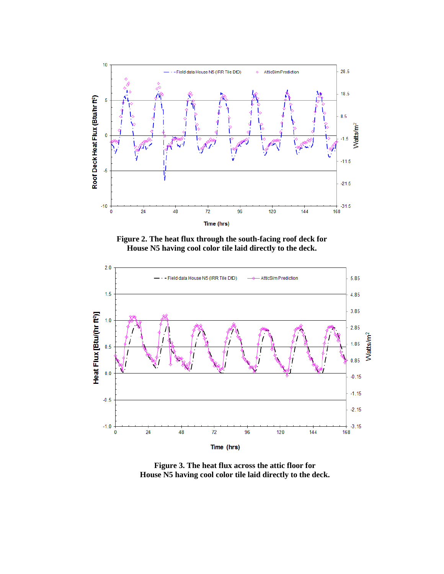

**Figure 2. The heat flux through the south-facing roof deck for House N5 having cool color tile laid directly to the deck.**



**Figure 3. The heat flux across the attic floor for House N5 having cool color tile laid directly to the deck.**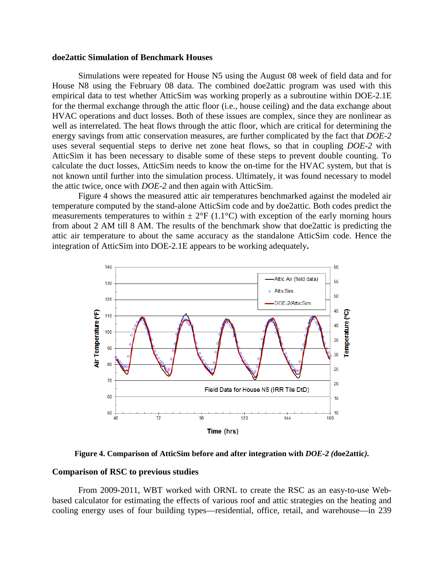#### **doe2attic Simulation of Benchmark Houses**

Simulations were repeated for House N5 using the August 08 week of field data and for House N8 using the February 08 data. The combined doe2attic program was used with this empirical data to test whether AtticSim was working properly as a subroutine within DOE-2.1E for the thermal exchange through the attic floor (i.e., house ceiling) and the data exchange about HVAC operations and duct losses. Both of these issues are complex, since they are nonlinear as well as interrelated. The heat flows through the attic floor, which are critical for determining the energy savings from attic conservation measures, are further complicated by the fact that *DOE-2* uses several sequential steps to derive net zone heat flows, so that in coupling *DOE-2* with AtticSim it has been necessary to disable some of these steps to prevent double counting. To calculate the duct losses, AtticSim needs to know the on-time for the HVAC system, but that is not known until further into the simulation process. Ultimately, it was found necessary to model the attic twice, once with *DOE-2* and then again with AtticSim.

Figure 4 shows the measured attic air temperatures benchmarked against the modeled air temperature computed by the stand-alone AtticSim code and by doe2attic*.* Both codes predict the measurements temperatures to within  $\pm 2^{\circ}F(1.1^{\circ}C)$  with exception of the early morning hours from about 2 AM till 8 AM. The results of the benchmark show that doe2attic is predicting the attic air temperature to about the same accuracy as the standalone AtticSim code. Hence the integration of AtticSim into DOE-2.1E appears to be working adequately**.**



**Figure 4. Comparison of AtticSim before and after integration with** *DOE-2 (***doe2attic***).*

#### **Comparison of RSC to previous studies**

From 2009-2011, WBT worked with ORNL to create the RSC as an easy-to-use Webbased calculator for estimating the effects of various roof and attic strategies on the heating and cooling energy uses of four building types—residential, office, retail, and warehouse—in 239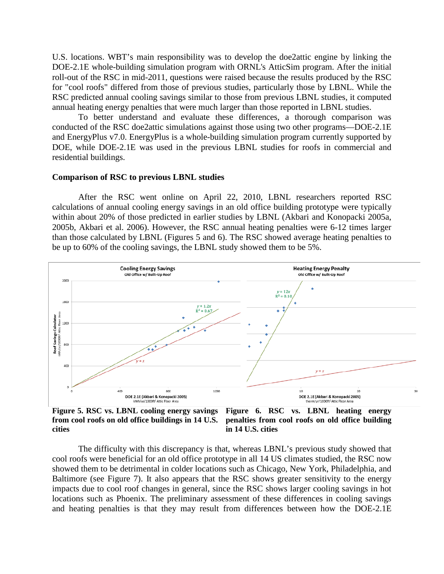U.S. locations. WBT's main responsibility was to develop the doe2attic engine by linking the DOE-2.1E whole-building simulation program with ORNL's AtticSim program. After the initial roll-out of the RSC in mid-2011, questions were raised because the results produced by the RSC for "cool roofs" differed from those of previous studies, particularly those by LBNL. While the RSC predicted annual cooling savings similar to those from previous LBNL studies, it computed annual heating energy penalties that were much larger than those reported in LBNL studies.

To better understand and evaluate these differences, a thorough comparison was conducted of the RSC doe2attic simulations against those using two other programs—DOE-2.1E and EnergyPlus v7.0. EnergyPlus is a whole-building simulation program currently supported by DOE, while DOE-2.1E was used in the previous LBNL studies for roofs in commercial and residential buildings.

#### **Comparison of RSC to previous LBNL studies**

After the RSC went online on April 22, 2010, LBNL researchers reported RSC calculations of annual cooling energy savings in an old office building prototype were typically within about 20% of those predicted in earlier studies by LBNL (Akbari and Konopacki 2005a, 2005b, Akbari et al. 2006). However, the RSC annual heating penalties were 6-12 times larger than those calculated by LBNL (Figures 5 and 6). The RSC showed average heating penalties to be up to 60% of the cooling savings, the LBNL study showed them to be 5%.



**Figure 5. RSC vs. LBNL cooling energy savings from cool roofs on old office buildings in 14 U.S. cities in 14 U.S. cities**

**Figure 6. RSC vs. LBNL heating energy penalties from cool roofs on old office building** 

The difficulty with this discrepancy is that, whereas LBNL's previous study showed that cool roofs were beneficial for an old office prototype in all 14 US climates studied, the RSC now showed them to be detrimental in colder locations such as Chicago, New York, Philadelphia, and Baltimore (see Figure 7). It also appears that the RSC shows greater sensitivity to the energy impacts due to cool roof changes in general, since the RSC shows larger cooling savings in hot locations such as Phoenix. The preliminary assessment of these differences in cooling savings and heating penalties is that they may result from differences between how the DOE-2.1E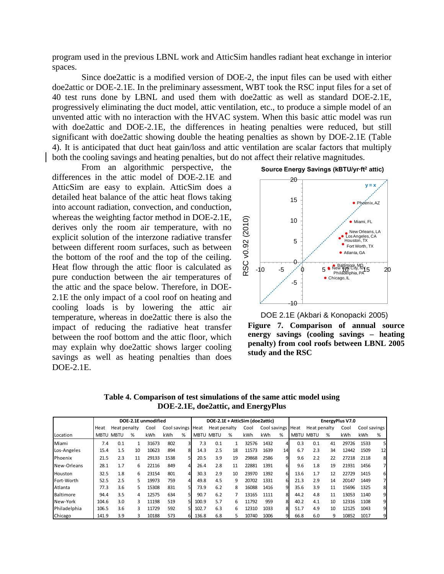program used in the previous LBNL work and AtticSim handles radiant heat exchange in interior spaces.

Since doe2attic is a modified version of DOE-2, the input files can be used with either doe2attic or DOE-2.1E. In the preliminary assessment, WBT took the RSC input files for a set of 40 test runs done by LBNL and used them with doe2attic as well as standard DOE-2.1E, progressively eliminating the duct model, attic ventilation, etc., to produce a simple model of an unvented attic with no interaction with the HVAC system. When this basic attic model was run with doe2attic and DOE-2.1E, the differences in heating penalties were reduced, but still significant with doe2attic showing double the heating penalties as shown by DOE-2.1E (Table 4). It is anticipated that duct heat gain/loss and attic ventilation are scalar factors that multiply both the cooling savings and heating penalties, but do not affect their relative magnitudes.

From an algorithmic perspective, the differences in the attic model of DOE-2.1E and AtticSim are easy to explain. AtticSim does a detailed heat balance of the attic heat flows taking into account radiation, convection, and conduction, whereas the weighting factor method in DOE-2.1E, derives only the room air temperature, with no explicit solution of the interzone radiative transfer between different room surfaces, such as between the bottom of the roof and the top of the ceiling. Heat flow through the attic floor is calculated as pure conduction between the air temperatures of the attic and the space below. Therefore, in DOE-2.1E the only impact of a cool roof on heating and cooling loads is by lowering the attic air temperature, whereas in doe2attic there is also the impact of reducing the radiative heat transfer between the roof bottom and the attic floor, which may explain why doe2attic shows larger cooling savings as well as heating penalties than does DOE-2.1E.

**Source Energy Savings (kBTU/yr∙ft<sup>2</sup> attic)**



**Figure 7. Comparison of annual source energy savings (cooling savings – heating penalty) from cool roofs between LBNL 2005 study and the RSC** DOE 2.1E (Akbari & Konopacki 2005)

**Table 4. Comparison of test simulations of the same attic model using DOE-2.1E, doe2attic, and EnergyPlus**

|              | DOE-2.1E unmodified |                  |    |       |              |   | DOE-2.1E + AtticSim (doe2attic) |                  |    |       |                   |    | EnergyPlus V7.0 |              |    |       |              |    |
|--------------|---------------------|------------------|----|-------|--------------|---|---------------------------------|------------------|----|-------|-------------------|----|-----------------|--------------|----|-------|--------------|----|
|              | Heat                | Heat penalty     |    | Cool  | Cool savings |   | Heat                            | Heat penalty     |    | Cool  | Cool savings Heat |    |                 | Heat penalty |    | Cool  | Cool savings |    |
| Location     |                     | <b>MBTU MBTU</b> | %  | kWh   | kWh          | % |                                 | <b>MBTU MBTU</b> | %  | kWh   | kWh               | %  | <b>MBTU</b>     | <b>MBTU</b>  | %  | kWh   | kWh          | %  |
| Miami        | 7.4                 | 0.1              |    | 31673 | 802          | 3 | 7.3                             | 0.1              |    | 32576 | 1432              | 4  | 0.3             | 0.1          | 41 | 29726 | 1533         | 5  |
| Los-Angeles  | 15.4                | 1.5              | 10 | 10623 | 894          | 8 | 14.3                            | 2.5              | 18 | 11573 | 1639              | 14 | 6.7             | 2.3          | 34 | 12442 | 1509         | 12 |
| Phoenix      | 21.5                | 2.3              | 11 | 29133 | 1538         | 5 | 20.5                            | 3.9              | 19 | 29868 | 2586              | 9  | 9.6             | 2.2          | 22 | 27218 | 2118         | 8  |
| New-Orleans  | 28.1                | 1.7              | 6  | 22116 | 849          | 4 | 26.4                            | 2.8              | 11 | 22881 | 1391              | 6  | 9.6             | 1.8          | 19 | 21931 | 1456         |    |
| Houston      | 32.5                | 1.8              | 6  | 23154 | 801          | 4 | 30.3                            | 2.9              | 10 | 23970 | 1392              | 6  | 13.6            | 1.7          | 12 | 22729 | 1415         | 6  |
| Fort-Worth   | 52.5                | 2.5              | 5  | 19973 | 759          | 4 | 49.8                            | 4.5              | 9  | 20702 | 1331              | 6  | 21.3            | 2.9          | 14 | 20147 | 1449         |    |
| Atlanta      | 77.3                | 3.6              | 5  | 15308 | 831          | 5 | 73.9                            | 6.2              | 8  | 16088 | 1416              | 9  | 35.6            | 3.9          | 11 | 15696 | 1325         | 8  |
| Baltimore    | 94.4                | 3.5              | 4  | 12575 | 634          |   | 90.7                            | 6.2              |    | 13165 | 1111              | 8  | 44.2            | 4.8          | 11 | 13053 | 1140         | 9  |
| New-York     | 104.6               | 3.0              |    | 11198 | 519          |   | 100.9                           | 5.7              | 6  | 11792 | 959               | 8  | 40.2            | 4.1          | 10 | 12316 | 1108         | 9  |
| Philadelphia | 106.5               | 3.6              | 3  | 11729 | 592          |   | 102.7                           | 6.3              | 6  | 12310 | 1033              | 8  | 51.7            | 4.9          | 10 | 12125 | 1043         | 9  |
| Chicago      | 141.9               | 3.9              |    | 10188 | 573          |   | 136.8                           | 6.8              |    | 10740 | 1006              | 9  | 66.8            | 6.0          | 9  | 10852 | 1017         | 9  |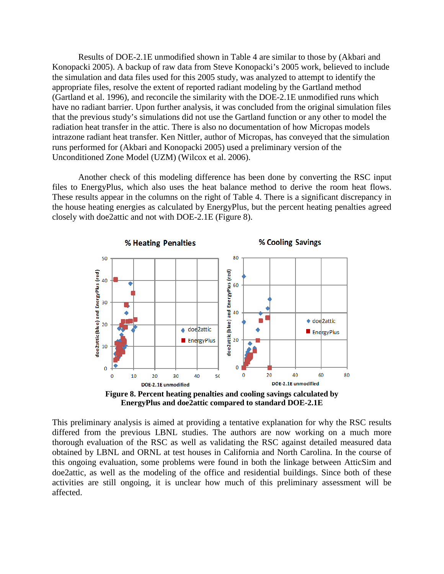Results of DOE-2.1E unmodified shown in Table 4 are similar to those by (Akbari and Konopacki 2005). A backup of raw data from Steve Konopacki's 2005 work, believed to include the simulation and data files used for this 2005 study, was analyzed to attempt to identify the appropriate files, resolve the extent of reported radiant modeling by the Gartland method (Gartland et al. 1996), and reconcile the similarity with the DOE-2.1E unmodified runs which have no radiant barrier. Upon further analysis, it was concluded from the original simulation files that the previous study's simulations did not use the Gartland function or any other to model the radiation heat transfer in the attic. There is also no documentation of how Micropas models intrazone radiant heat transfer. Ken Nittler, author of Micropas, has conveyed that the simulation runs performed for (Akbari and Konopacki 2005) used a preliminary version of the Unconditioned Zone Model (UZM) (Wilcox et al. 2006).

Another check of this modeling difference has been done by converting the RSC input files to EnergyPlus*,* which also uses the heat balance method to derive the room heat flows. These results appear in the columns on the right of Table 4. There is a significant discrepancy in the house heating energies as calculated by EnergyPlus*,* but the percent heating penalties agreed closely with doe2attic and not with DOE-2.1E (Figure 8).



**EnergyPlus and doe2attic compared to standard DOE-2.1E**

This preliminary analysis is aimed at providing a tentative explanation for why the RSC results differed from the previous LBNL studies. The authors are now working on a much more thorough evaluation of the RSC as well as validating the RSC against detailed measured data obtained by LBNL and ORNL at test houses in California and North Carolina. In the course of this ongoing evaluation, some problems were found in both the linkage between AtticSim and doe2attic, as well as the modeling of the office and residential buildings. Since both of these activities are still ongoing, it is unclear how much of this preliminary assessment will be affected.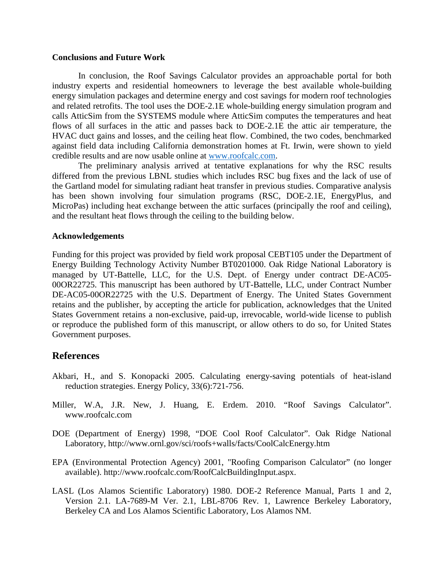### **Conclusions and Future Work**

In conclusion, the Roof Savings Calculator provides an approachable portal for both industry experts and residential homeowners to leverage the best available whole-building energy simulation packages and determine energy and cost savings for modern roof technologies and related retrofits. The tool uses the DOE-2.1E whole-building energy simulation program and calls AtticSim from the SYSTEMS module where AtticSim computes the temperatures and heat flows of all surfaces in the attic and passes back to DOE-2.1E the attic air temperature, the HVAC duct gains and losses, and the ceiling heat flow. Combined, the two codes, benchmarked against field data including California demonstration homes at Ft. Irwin, were shown to yield credible results and are now usable online at [www.roofcalc.com.](http://www.roofcalc.com/)

The preliminary analysis arrived at tentative explanations for why the RSC results differed from the previous LBNL studies which includes RSC bug fixes and the lack of use of the Gartland model for simulating radiant heat transfer in previous studies. Comparative analysis has been shown involving four simulation programs (RSC, DOE-2.1E, EnergyPlus, and MicroPas) including heat exchange between the attic surfaces (principally the roof and ceiling), and the resultant heat flows through the ceiling to the building below.

#### **Acknowledgements**

Funding for this project was provided by field work proposal CEBT105 under the Department of Energy Building Technology Activity Number BT0201000. Oak Ridge National Laboratory is managed by UT-Battelle, LLC, for the U.S. Dept. of Energy under contract DE-AC05- 00OR22725. This manuscript has been authored by UT-Battelle, LLC, under Contract Number DE-AC05-00OR22725 with the U.S. Department of Energy. The United States Government retains and the publisher, by accepting the article for publication, acknowledges that the United States Government retains a non-exclusive, paid-up, irrevocable, world-wide license to publish or reproduce the published form of this manuscript, or allow others to do so, for United States Government purposes.

# **References**

- Akbari, H., and S. Konopacki 2005. Calculating energy-saving potentials of heat-island reduction strategies. Energy Policy, 33(6):721-756.
- Miller, W.A, J.R. New, J. Huang, E. Erdem. 2010. "Roof Savings Calculator". www.roofcalc.com
- DOE (Department of Energy) 1998, "DOE Cool Roof Calculator". Oak Ridge National Laboratory, http://www.ornl.gov/sci/roofs+walls/facts/CoolCalcEnergy.htm
- EPA (Environmental Protection Agency) 2001, "Roofing Comparison Calculator" (no longer available). http://www.roofcalc.com/RoofCalcBuildingInput.aspx.
- LASL (Los Alamos Scientific Laboratory) 1980. DOE-2 Reference Manual, Parts 1 and 2, Version 2.1. LA-7689-M Ver. 2.1, LBL-8706 Rev. 1, Lawrence Berkeley Laboratory, Berkeley CA and Los Alamos Scientific Laboratory, Los Alamos NM.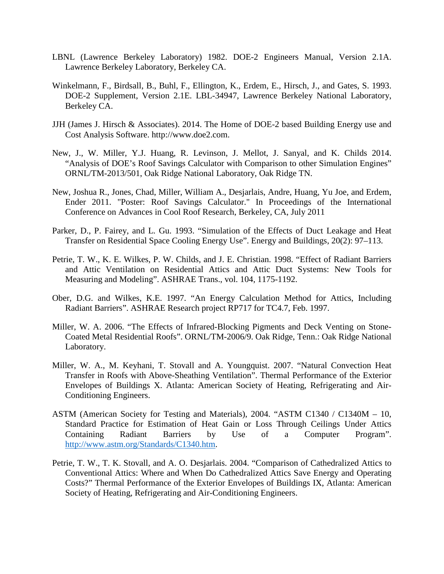- LBNL (Lawrence Berkeley Laboratory) 1982. DOE-2 Engineers Manual, Version 2.1A. Lawrence Berkeley Laboratory, Berkeley CA.
- Winkelmann, F., Birdsall, B., Buhl, F., Ellington, K., Erdem, E., Hirsch, J., and Gates, S. 1993. DOE-2 Supplement, Version 2.1E. LBL-34947, Lawrence Berkeley National Laboratory, Berkeley CA.
- JJH (James J. Hirsch & Associates). 2014. The Home of DOE-2 based Building Energy use and Cost Analysis Software. http://www.doe2.com.
- New, J., W. Miller, Y.J. Huang, R. Levinson, J. Mellot, J. Sanyal, and K. Childs 2014. "Analysis of DOE's Roof Savings Calculator with Comparison to other Simulation Engines" ORNL/TM-2013/501, Oak Ridge National Laboratory, Oak Ridge TN.
- New, Joshua R., Jones, Chad, Miller, William A., Desjarlais, Andre, Huang, Yu Joe, and Erdem, Ender 2011. "Poster: Roof Savings Calculator." In Proceedings of the International Conference on Advances in Cool Roof Research, Berkeley, CA, July 2011
- Parker, D., P. Fairey, and L. Gu. 1993. "Simulation of the Effects of Duct Leakage and Heat Transfer on Residential Space Cooling Energy Use". Energy and Buildings, 20(2): 97–113.
- Petrie, T. W., K. E. Wilkes, P. W. Childs, and J. E. Christian. 1998. "Effect of Radiant Barriers and Attic Ventilation on Residential Attics and Attic Duct Systems: New Tools for Measuring and Modeling". ASHRAE Trans., vol. 104, 1175-1192.
- Ober, D.G. and Wilkes, K.E. 1997. "An Energy Calculation Method for Attics, Including Radiant Barriers". ASHRAE Research project RP717 for TC4.7, Feb. 1997.
- Miller, W. A. 2006. "The Effects of Infrared-Blocking Pigments and Deck Venting on Stone-Coated Metal Residential Roofs". ORNL/TM-2006/9. Oak Ridge, Tenn.: Oak Ridge National Laboratory.
- Miller, W. A., M. Keyhani, T. Stovall and A. Youngquist. 2007. "Natural Convection Heat Transfer in Roofs with Above-Sheathing Ventilation". Thermal Performance of the Exterior Envelopes of Buildings X. Atlanta: American Society of Heating, Refrigerating and Air-Conditioning Engineers.
- ASTM (American Society for Testing and Materials), 2004. "ASTM C1340 / C1340M 10, Standard Practice for Estimation of Heat Gain or Loss Through Ceilings Under Attics Containing Radiant Barriers by Use of a Computer Program". [http://www.astm.org/Standards/C1340.htm.](http://www.astm.org/Standards/C1340.htm)
- Petrie, T. W., T. K. Stovall, and A. O. Desjarlais. 2004. "Comparison of Cathedralized Attics to Conventional Attics: Where and When Do Cathedralized Attics Save Energy and Operating Costs?" Thermal Performance of the Exterior Envelopes of Buildings IX, Atlanta: American Society of Heating, Refrigerating and Air-Conditioning Engineers.